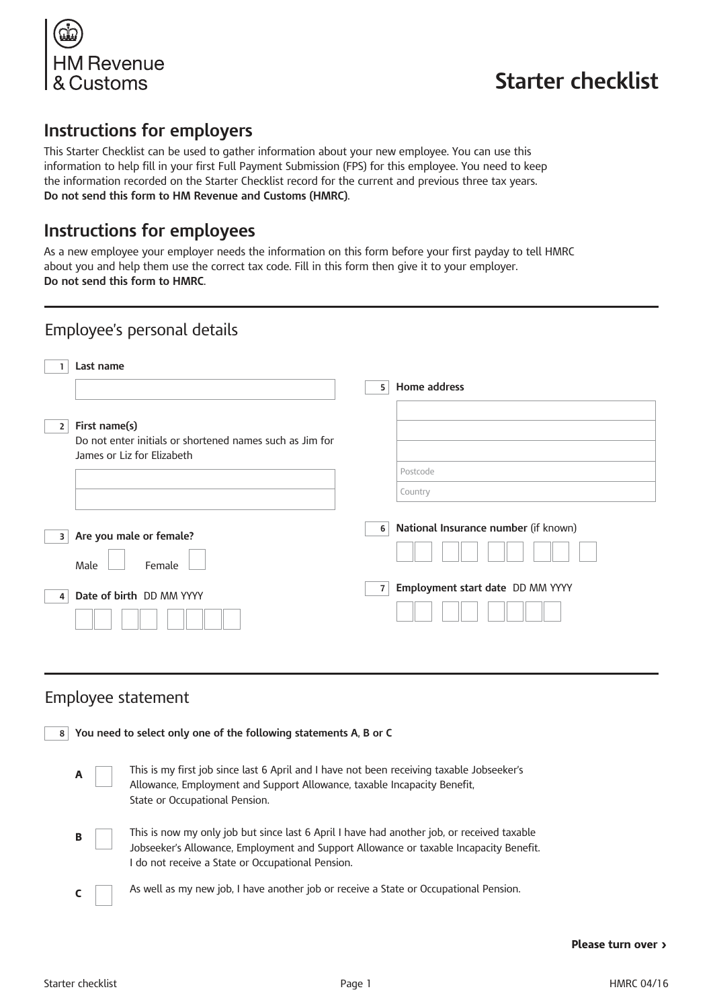

# **Starter checklist**

## **Instructions for employers**

This Starter Checklist can be used to gather information about your new employee. You can use this information to help fill in your first Full Payment Submission (FPS) for this employee. You need to keep the information recorded on the Starter Checklist record for the current and previous three tax years. **Do not send this form to HM Revenue and Customs (HMRC)**.

## **Instructions for employees**

As a new employee your employer needs the information on this form before your first payday to tell HMRC about you and help them use the correct tax code. Fill in this form then give it to your employer. **Do not send this form to HMRC**.

| Employee's personal details                                                    |                                                    |
|--------------------------------------------------------------------------------|----------------------------------------------------|
| Last name                                                                      |                                                    |
|                                                                                | Home address<br>5                                  |
| First name(s)<br>2<br>Do not enter initials or shortened names such as Jim for |                                                    |
| James or Liz for Elizabeth                                                     | Postcode                                           |
|                                                                                | Country                                            |
|                                                                                |                                                    |
| Are you male or female?<br>3<br>Male<br>Female                                 | National Insurance number (if known)<br>6          |
| Date of birth DD MM YYYY<br>4                                                  | Employment start date DD MM YYYY<br>$\overline{7}$ |

#### Employee statement

| You need to select only one of the following statements A, B or C<br>8 |                                                                                                                                                                                                                                           |  |  |  |  |  |
|------------------------------------------------------------------------|-------------------------------------------------------------------------------------------------------------------------------------------------------------------------------------------------------------------------------------------|--|--|--|--|--|
| A                                                                      | This is my first job since last 6 April and I have not been receiving taxable Jobseeker's<br>Allowance, Employment and Support Allowance, taxable Incapacity Benefit,<br>State or Occupational Pension.                                   |  |  |  |  |  |
| в                                                                      | This is now my only job but since last 6 April I have had another job, or received taxable<br>Jobseeker's Allowance, Employment and Support Allowance or taxable Incapacity Benefit.<br>I do not receive a State or Occupational Pension. |  |  |  |  |  |
|                                                                        | As well as my new job, I have another job or receive a State or Occupational Pension.                                                                                                                                                     |  |  |  |  |  |